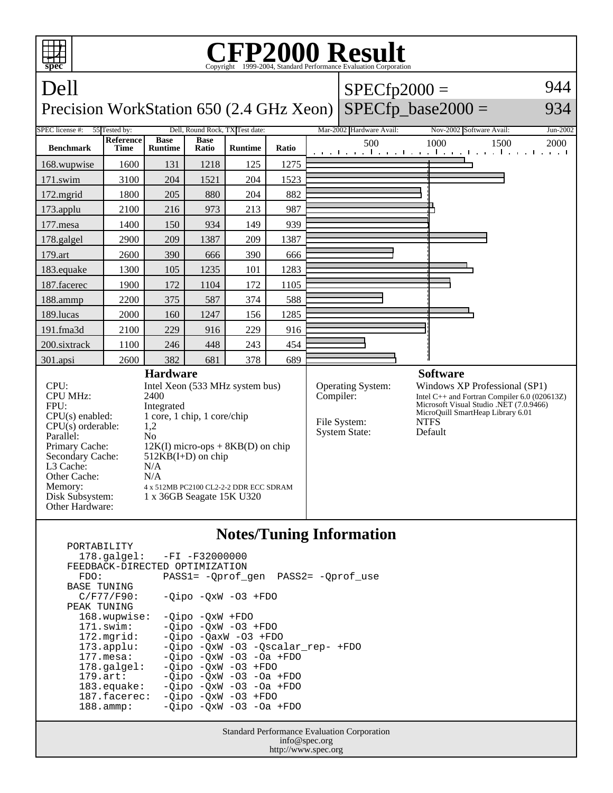

## **Notes/Tuning Information**

 PORTABILITY 178.galgel: -FI -F32000000 FEEDBACK-DIRECTED OPTIMIZATION<br>FDO: PASS1= -Oprof FDO: PASS1= -Qprof\_gen PASS2= -Qprof\_use BASE TUNING  $C/F77/F90: -Qipo -QxW -O3 + FDO$ PEAK TUNING<br>168.wupwise: 168.wupwise: -Qipo -QxW +FDO<br>171.swim: -Oipo -OxW -O3 -Qipo -QxW -O3 +FDO 172.mgrid: -Qipo -QaxW -O3 +FDO 173.applu: -Qipo -QxW -O3 -Qscalar\_rep- +FDO 177.mesa: -Qipo -QxW -O3 -Oa +FDO<br>178.galgel: -Qipo -QxW -O3 +FDO 178.galgel: - Qipo - QxW - 03 + FDO<br>179.art: - Oipo - OxW - 03 - Oa 179.art: - Qipo - QxW - 03 - 0a + FDO<br>183.equake: - Qipo - QxW - 03 - 0a + FDO  $-Qipo -QxW -O3 -Oa +FDO$  187.facerec: -Qipo -QxW -O3 +FDO 188.ammp: -Qipo -QxW -O3 -Oa +FDO

> Standard Performance Evaluation Corporation info@spec.org http://www.spec.org